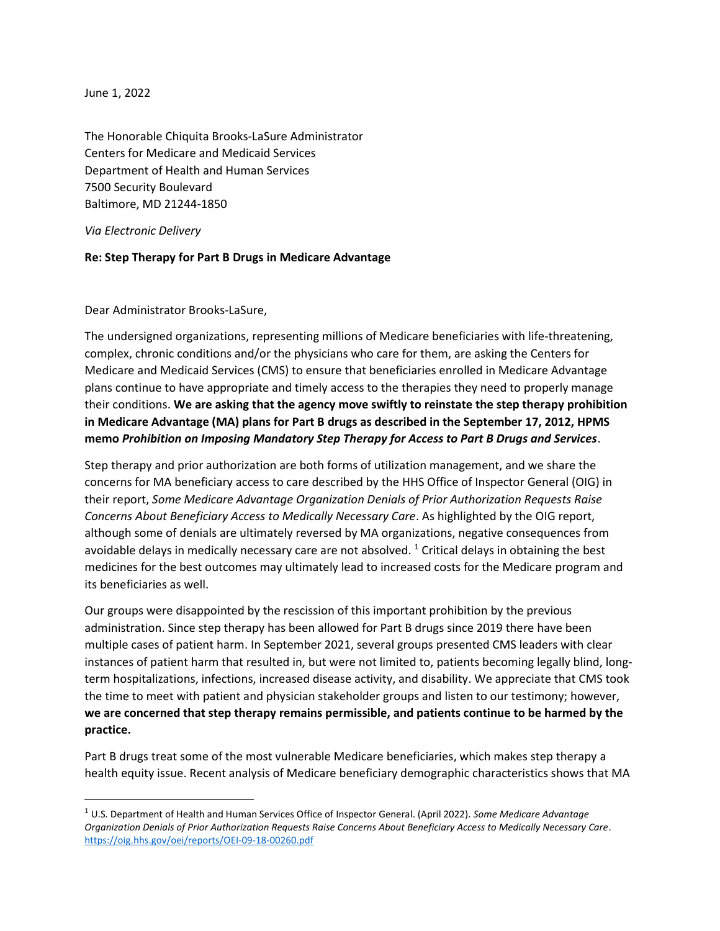June 1, 2022

The Honorable Chiquita Brooks-LaSure Administrator Centers for Medicare and Medicaid Services Department of Health and Human Services 7500 Security Boulevard Baltimore, MD 21244-1850

Via Electronic Delivery

## Re: Step Therapy for Part B Drugs in Medicare Advantage

Dear Administrator Brooks-LaSure,

The undersigned organizations, representing millions of Medicare beneficiaries with life-threatening, complex, chronic conditions and/or the physicians who care for them, are asking the Centers for Medicare and Medicaid Services (CMS) to ensure that beneficiaries enrolled in Medicare Advantage plans continue to have appropriate and timely access to the therapies they need to properly manage their conditions. We are asking that the agency move swiftly to reinstate the step therapy prohibition in Medicare Advantage (MA) plans for Part B drugs as described in the September 17, 2012, HPMS memo Prohibition on Imposing Mandatory Step Therapy for Access to Part B Drugs and Services.

Step therapy and prior authorization are both forms of utilization management, and we share the concerns for MA beneficiary access to care described by the HHS Office of Inspector General (OIG) in their report, Some Medicare Advantage Organization Denials of Prior Authorization Requests Raise Concerns About Beneficiary Access to Medically Necessary Care. As highlighted by the OIG report, although some of denials are ultimately reversed by MA organizations, negative consequences from avoidable delays in medically necessary care are not absolved.  $^1$  Critical delays in obtaining the best medicines for the best outcomes may ultimately lead to increased costs for the Medicare program and its beneficiaries as well.

Our groups were disappointed by the rescission of this important prohibition by the previous administration. Since step therapy has been allowed for Part B drugs since 2019 there have been multiple cases of patient harm. In September 2021, several groups presented CMS leaders with clear instances of patient harm that resulted in, but were not limited to, patients becoming legally blind, longterm hospitalizations, infections, increased disease activity, and disability. We appreciate that CMS took the time to meet with patient and physician stakeholder groups and listen to our testimony; however, we are concerned that step therapy remains permissible, and patients continue to be harmed by the practice.

Part B drugs treat some of the most vulnerable Medicare beneficiaries, which makes step therapy a health equity issue. Recent analysis of Medicare beneficiary demographic characteristics shows that MA

 $1$  U.S. Department of Health and Human Services Office of Inspector General. (April 2022). Some Medicare Advantage Organization Denials of Prior Authorization Requests Raise Concerns About Beneficiary Access to Medically Necessary Care. https://oig.hhs.gov/oei/reports/OEI-09-18-00260.pdf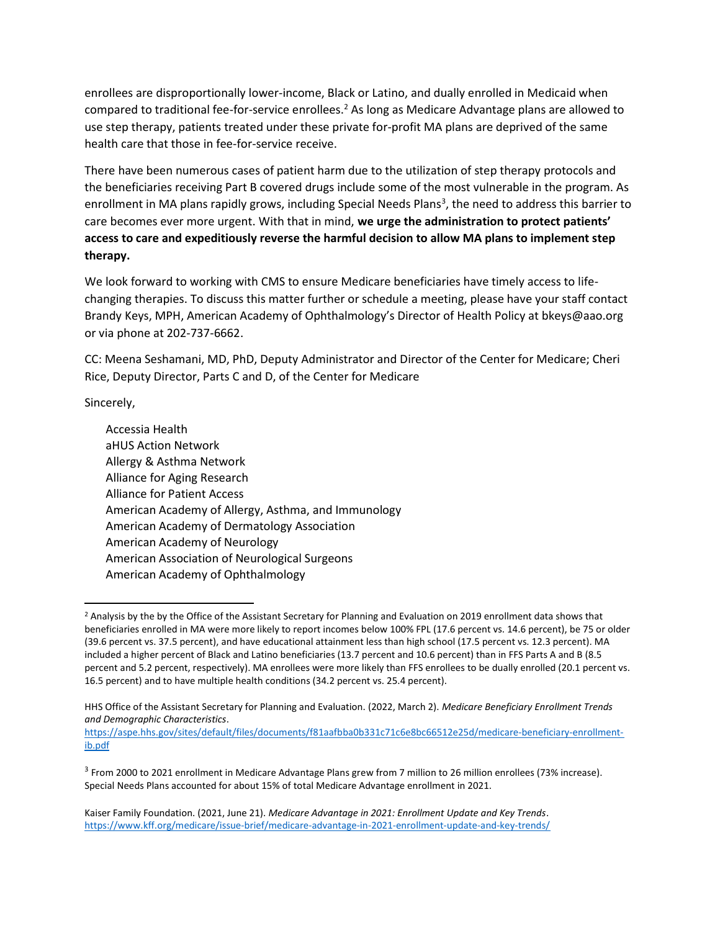enrollees are disproportionally lower-income, Black or Latino, and dually enrolled in Medicaid when compared to traditional fee-for-service enrollees.<sup>2</sup> As long as Medicare Advantage plans are allowed to use step therapy, patients treated under these private for-profit MA plans are deprived of the same health care that those in fee-for-service receive.

There have been numerous cases of patient harm due to the utilization of step therapy protocols and the beneficiaries receiving Part B covered drugs include some of the most vulnerable in the program. As enrollment in MA plans rapidly grows, including Special Needs Plans<sup>3</sup>, the need to address this barrier to care becomes ever more urgent. With that in mind, we urge the administration to protect patients' access to care and expeditiously reverse the harmful decision to allow MA plans to implement step therapy.

We look forward to working with CMS to ensure Medicare beneficiaries have timely access to lifechanging therapies. To discuss this matter further or schedule a meeting, please have your staff contact Brandy Keys, MPH, American Academy of Ophthalmology's Director of Health Policy at bkeys@aao.org or via phone at 202-737-6662.

CC: Meena Seshamani, MD, PhD, Deputy Administrator and Director of the Center for Medicare; Cheri Rice, Deputy Director, Parts C and D, of the Center for Medicare

Sincerely,

Accessia Health aHUS Action Network Allergy & Asthma Network Alliance for Aging Research Alliance for Patient Access American Academy of Allergy, Asthma, and Immunology American Academy of Dermatology Association American Academy of Neurology American Association of Neurological Surgeons American Academy of Ophthalmology

<sup>&</sup>lt;sup>2</sup> Analysis by the by the Office of the Assistant Secretary for Planning and Evaluation on 2019 enrollment data shows that beneficiaries enrolled in MA were more likely to report incomes below 100% FPL (17.6 percent vs. 14.6 percent), be 75 or older (39.6 percent vs. 37.5 percent), and have educational attainment less than high school (17.5 percent vs. 12.3 percent). MA included a higher percent of Black and Latino beneficiaries (13.7 percent and 10.6 percent) than in FFS Parts A and B (8.5 percent and 5.2 percent, respectively). MA enrollees were more likely than FFS enrollees to be dually enrolled (20.1 percent vs. 16.5 percent) and to have multiple health conditions (34.2 percent vs. 25.4 percent).

HHS Office of the Assistant Secretary for Planning and Evaluation. (2022, March 2). Medicare Beneficiary Enrollment Trends and Demographic Characteristics.

https://aspe.hhs.gov/sites/default/files/documents/f81aafbba0b331c71c6e8bc66512e25d/medicare-beneficiary-enrollmentib.pdf

<sup>3</sup> From 2000 to 2021 enrollment in Medicare Advantage Plans grew from 7 million to 26 million enrollees (73% increase). Special Needs Plans accounted for about 15% of total Medicare Advantage enrollment in 2021.

Kaiser Family Foundation. (2021, June 21). Medicare Advantage in 2021: Enrollment Update and Key Trends. https://www.kff.org/medicare/issue-brief/medicare-advantage-in-2021-enrollment-update-and-key-trends/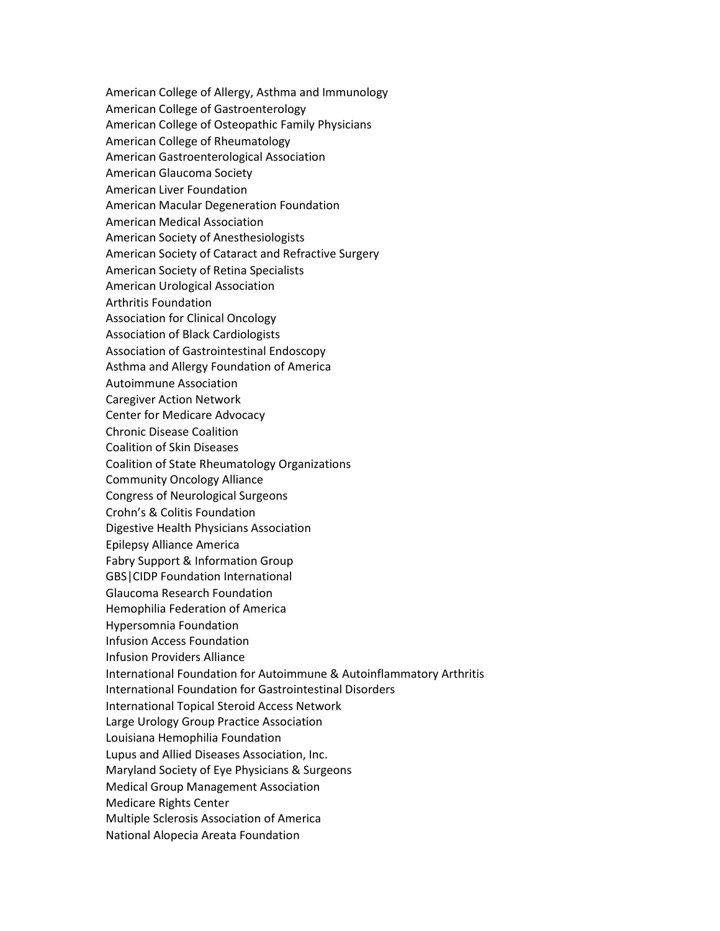American College of Allergy, Asthma and Immunology American College of Gastroenterology American College of Osteopathic Family Physicians American College of Rheumatology American Gastroenterological Association American Glaucoma Society American Liver Foundation American Macular Degeneration Foundation American Medical Association American Society of Anesthesiologists American Society of Cataract and Refractive Surgery American Society of Retina Specialists American Urological Association Arthritis Foundation Association for Clinical Oncology Association of Black Cardiologists Association of Gastrointestinal Endoscopy Asthma and Allergy Foundation of America Autoimmune Association Caregiver Action Network Center for Medicare Advocacy Chronic Disease Coalition Coalition of Skin Diseases Coalition of State Rheumatology Organizations Community Oncology Alliance Congress of Neurological Surgeons Crohn's & Colitis Foundation Digestive Health Physicians Association Epilepsy Alliance America Fabry Support & Information Group GBS|CIDP Foundation International Glaucoma Research Foundation Hemophilia Federation of America Hypersomnia Foundation Infusion Access Foundation Infusion Providers Alliance International Foundation for Autoimmune & Autoinflammatory Arthritis International Foundation for Gastrointestinal Disorders International Topical Steroid Access Network Large Urology Group Practice Association Louisiana Hemophilia Foundation Lupus and Allied Diseases Association, Inc. Maryland Society of Eye Physicians & Surgeons Medical Group Management Association Medicare Rights Center Multiple Sclerosis Association of America National Alopecia Areata Foundation